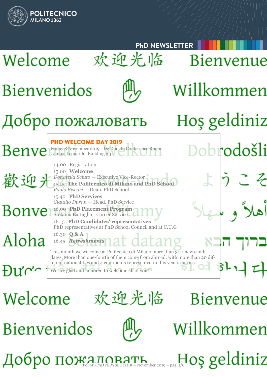

Welcome

欢迎光临

Bienvenue

**Bienvenidos** 

Добро пожаловать November 2019 - pag. 1/6 OS geldiniz

Willkommen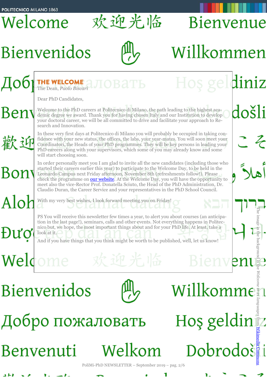Welcome

欢迎光临

# **Bienvenidos**



Добро пожаловать

Benvenuti







Welkom



Dobrodošii

**Bienvenue** 

Willkommen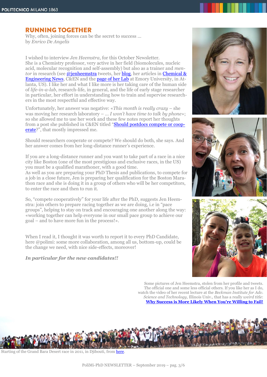# **RUNNING TOGETHER**

Why, often, joining forces can be the secret to success … by *Enrico De Angelis*

I wished to interview *Jen Heemstra*, for this October Newsletter. She is a Chemistry professor, very active in her field (biomolecules, nucleic acid, molecular recognition and self-assembly) but also as a trainer and *mentor* in research (see *@jenheemstra* tweets, her **blog**, her articles in **Chemical &** [Engineering News,](https://cen.acs.org/index.html) C&EN and the [page of her Lab](https://www.heemstralab.com/) at Emory University, in Atlanta, US). I like her and what I like more is her taking care of the human side of *life-in-a-lab*, research-life, in general, and the life of early stage researcher in particular, her effort in understanding how to train and supervise researchers in the most respectful and effective way.

Unfortunately, her answer was negative: «*This month is really crazy* – she was moving her research laboratory – … *I won't have time to talk by phone*»; so she allowed me to use her work and these few notes report her thoughts from a post she published in C&EN titled "[Should postdocs compete or coop](https://cen.acs.org/careers/employment/Should-postdocs-compete-cooperate-Jen-Heemstra-offers-her-two-cents/97/i35?fbclid=IwAR0U1Jra28t-r4X892yzoiGqnHLN_TDkutKfKflV3N89rW-XHO8REtiVDs4)[erate?](https://cen.acs.org/careers/employment/Should-postdocs-compete-cooperate-Jen-Heemstra-offers-her-two-cents/97/i35?fbclid=IwAR0U1Jra28t-r4X892yzoiGqnHLN_TDkutKfKflV3N89rW-XHO8REtiVDs4)", that mostly impressed me.

Should researchers cooperate or compete? We should do both, she says. And her answer comes from her long-distance runner's experience.

If you are a long-distance runner and you want to take part of a race in a nice city like Boston (one of the most prestigious and exclusive races, in the US) you must be a qualified marathoner, with a good time.

As well as you are preparing your PhD Thesis and publications, to compete for a job in a close future, Jen is preparing her qualification for the Boston Marathon race and she is doing it in a group of others who will be her competitors, to enter the race and then to run it.

So, "compete cooperatively" for your life after the PhD, suggests Jen Heemstra: join others to prepare racing together as we are doing, i.e in "pace groups", helping to stay on track and encouraging one another along the way: «working together can help everyone in our small pace group to achieve our goal – and to have more fun in the process!».

When I read it, I thought it was worth to report it to every PhD Candidate, here @polimi: some more collaboration, among all us, bottom-up, could be the change we need, with nice side-effects, moreover!

### *In particular for the new candidates!!*







Some pictures of Jen Heemstra, stolen from her profile and tweets. The official one and some less official others. If you like her as I do, watch the video of her recent lecture at the *Beckman Institute for Adv. Science and Technology*, Illinois Univ., that has a really *weird title*: **[Why Success is More Likely When You're Willing to Fail!](https://youtu.be/jdC-WhM2VMs?t=360)**



Starting of the Grand Bara Desert race in 2011, in Djibouti, from [here.](https://www.africom.mil/media-room/article/8732/multinational-forces-compete-in-grand-bara-15k)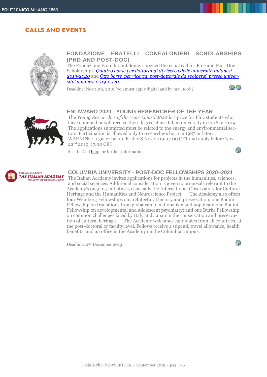# **CALLS AND EVENTS**



#### **FONDAZIONE FRATELLI CONFALONIERI SCHOLARSHIPS (PHD AND POST-DOC)**

The Fondazione Fratelli Confalonieri opened the usual call for PhD and Post-Doc Scholarships: *Quattro borse per [dottorandi di ricerca delle università milanesi](http://www.dottorato.polimi.it/fileadmin/files/dottorato/newsletter/allegati/2019_10/Confalonieri_Bando_Dottorandi_2019-2020.pdf)  [2019-2020](http://www.dottorato.polimi.it/fileadmin/files/dottorato/newsletter/allegati/2019_10/Confalonieri_Bando_Dottorandi_2019-2020.pdf)* and *[Otto borse per ricerca post-dottorale da svolgersi presso univer](http://www.dottorato.polimi.it/fileadmin/files/dottorato/newsletter/allegati/2019_10/Confalonieri_Bando_Post-Doc_2019-2020.pdf)[sita' milanesi 2019](http://www.dottorato.polimi.it/fileadmin/files/dottorato/newsletter/allegati/2019_10/Confalonieri_Bando_Post-Doc_2019-2020.pdf)-2020*.

Deadline: Nov.14th, 2019 (you must apply digital and by mail too!!)



 $\mathcal{P}$ 



#### **ENI AWARD 2020 - YOUNG RESEARCHER OF THE YEAR**

The *Young Researcher of the Year Award 2020* is a prize for PhD students who have obtained or will receive their degree at an Italian university in 2018 or 2019. The applications submitted must be related to the energy and environmental sectors. Participation is allowed only to researchers born in 1987 or later. WARNING: register before Friday 8 Nov 2019, 17.00 CET and apply before Nov 22nd 2019, 17.00 CET

See the Call [here](http://customer43686.musvc2.net/e/t?q=4%3dHa8YJ%26J%3d4W%262%3dZ9SF%26M%3d9WLZA%26L%3dvRvG7_PStd_ac_Ie1R_St_PStd_ZhNAU.gEw.AqD_6yUq_FDgEwNg5w9_trgx_47wR_Ku_6yUq_FDoFrCnC3-Bk2o9c-39QkEsQu_Ie1R_StNt61G-g-IwAqE3Qe01CpKw_PStd_Zh3oLfF-sLk-2A9t5-Fh4a.49i6%26r%3dKwJ0A4.EsR%26kJ%3dIg6X) for further information



#### **COLUMBIA UNIVERSITY - POST-DOC FELLOWSHIPS 2020–2021**

The Italian Academy invites applications for projects in the humanities, sciences, and social sciences. Additional consideration is given to proposals relevant to the Academy's ongoing initiatives, especially the International Observatory for Cultural Heritage and the Humanities and Neuroscience Project. The Academy also offers four Weinberg Fellowships on architectural history and preservation; one Bodini Fellowship on transitions from globalism to nationalism and populism; one Bodini Fellowship on developmental and adolescent psychiatry; and one Burke Fellowship on common challenges faced by Italy and Japan in the conservation and preservation of cultural heritage. The Academy welcomes candidates from all countries, at the post-doctoral or faculty level. Fellows receive a stipend, travel allowance, health benefits, and an office in the Academy on the Columbia campus.

Deadline: 2nd December 2019

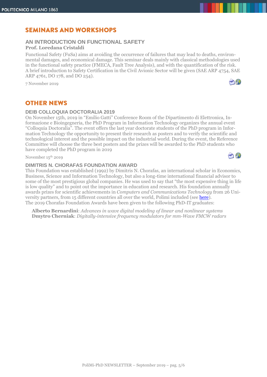# **SEMINARS AND WORKSHOPS**

## **AN INTRODUCTION ON FUNCTIONAL SAFETY Prof. Loredana Cristaldi**

Functional Safety (FuSa) aims at avoiding the occurrence of failures that may lead to deaths, environmental damages, and economical damage. This seminar deals mainly with classical methodologies used in the functional safety practice (FMECA, Fault Tree Analysis), and with the quantification of the risk. A brief introduction to Safety Certification in the Civil Avionic Sector will be given (SAE ARP 4754, SAE ARP 4761, DO 178, and DO 254).

7 November 2019



#### **DEIB COLLOQUIA DOCTORALIA 2019**

On November 15th, 2019 in "Emilio Gatti" Conference Room of the Dipartimento di Elettronica, Informazione e Bioingegneria, the PhD Program in Information Technology organizes the annual event "Colloquia Doctoralia". The event offers the last year doctorate students of the PhD program in Information Technology the opportunity to present their research as posters and to verify the scientific and technological interest and the possible impact on the industrial world. During the event, the Reference Committee will choose the three best posters and the prizes will be awarded to the PhD students who have completed the PhD program in 2019

November 15<sup>th</sup> 2019

#### **DIMITRIS N. CHORAFAS FOUNDATION AWARD**

This Foundation was established (1992) by Dimitris N. Chorafas, an international scholar in Economics, Business, Science and Information Technology, but also a long-time international financial advisor to some of the most prestigious global companies. He was used to say that "the most expensive thing in life is low quality" and to point out the importance in education and research. His foundation annually awards prizes for scientific achievements in *Computers and Communications Technology* from 26 University partners, from 15 different countries all over the world, Polimi included (see [here\)](https://dottoratoit.deib.polimi.it/?m=1&id=6). The 2019 Chorafas Foundation Awards have been given to the following PhD-IT graduates:

**Alberto Bernardini**: *Advances in wave digital modeling of linear and nonlinear systems* **Dmytro Cherniak**: *Digitally-intensive frequency modulators for mm-Wave FMCW radars*